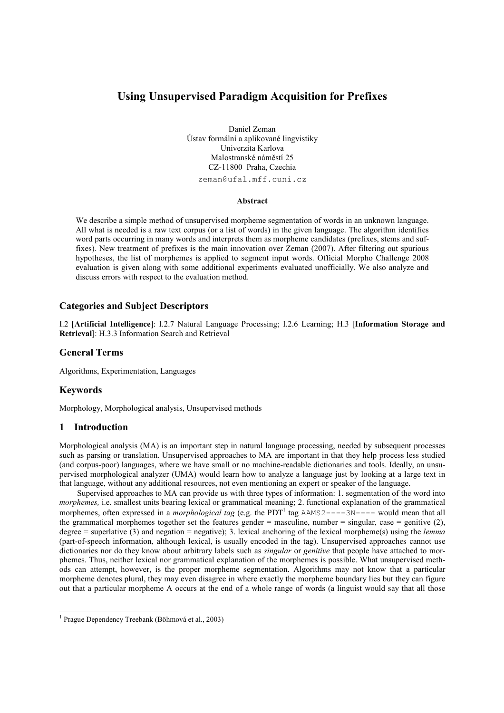# **Using Unsupervised Paradigm Acquisition for Prefixes**

Daniel Zeman Ústav formální a aplikované lingvistiky Univerzita Karlova Malostranské náměstí 25 CZ-11800 Praha, Czechia zeman@ufal.mff.cuni.cz

### Abstract

We describe a simple method of unsupervised morpheme segmentation of words in an unknown language. All what is needed is a raw text corpus (or a list of words) in the given language. The algorithm identifies word parts occurring in many words and interprets them as morpheme candidates (prefixes, stems and suffixes). New treatment of prefixes is the main innovation over Zeman (2007). After filtering out spurious hypotheses, the list of morphemes is applied to segment input words. Official Morpho Challenge 2008 evaluation is given along with some additional experiments evaluated unofficially. We also analyze and discuss errors with respect to the evaluation method.

## **Categories and Subject Descriptors**

I.2 [Artificial Intelligence]: I.2.7 Natural Language Processing; I.2.6 Learning; H.3 [Information Storage and Retrieval]: H.3.3 Information Search and Retrieval

### **General Terms**

Algorithms, Experimentation, Languages

### **Keywords**

Morphology, Morphological analysis, Unsupervised methods

#### $\mathbf{1}$ **Introduction**

Morphological analysis (MA) is an important step in natural language processing, needed by subsequent processes such as parsing or translation. Unsupervised approaches to MA are important in that they help process less studied (and corpus-poor) languages, where we have small or no machine-readable dictionaries and tools. Ideally, an unsupervised morphological analyzer (UMA) would learn how to analyze a language just by looking at a large text in that language, without any additional resources, not even mentioning an expert or speaker of the language.

Supervised approaches to MA can provide us with three types of information: 1. segmentation of the word into *morphemes*, i.e. smallest units bearing lexical or grammatical meaning; 2. functional explanation of the grammatical morphemes, often expressed in a *morphological tag* (e.g. the PDT<sup>1</sup> tag AAMS2----3N---- would mean that all the grammatical morphemes together set the features gender = masculine, number = singular, case = genitive  $(2)$ , degree = superlative (3) and negation = negative); 3. lexical anchoring of the lexical morpheme(s) using the *lemma* (part-of-speech information, although lexical, is usually encoded in the tag). Unsupervised approaches cannot use dictionaries nor do they know about arbitrary labels such as *singular* or *genitive* that people have attached to morphemes. Thus, neither lexical nor grammatical explanation of the morphemes is possible. What unsupervised methods can attempt, however, is the proper morpheme segmentation. Algorithms may not know that a particular morpheme denotes plural, they may even disagree in where exactly the morpheme boundary lies but they can figure out that a particular morpheme A occurs at the end of a whole range of words (a linguist would say that all those

<sup>&</sup>lt;sup>1</sup> Prague Dependency Treebank (Böhmová et al., 2003)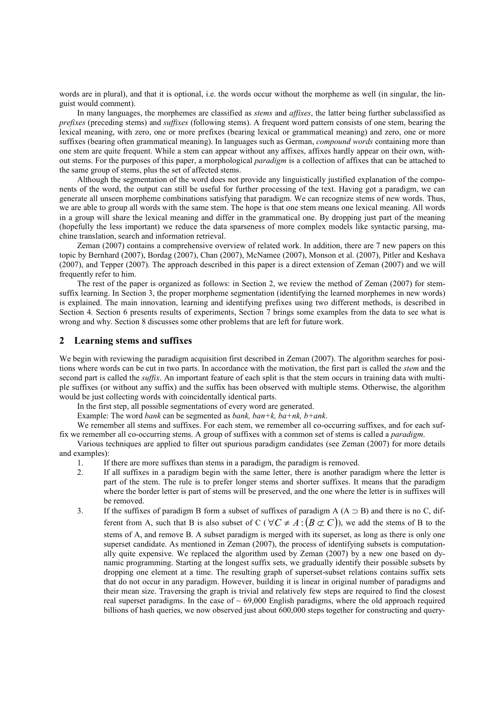words are in plural), and that it is optional, i.e. the words occur without the morpheme as well (in singular, the linguist would comment).

In many languages, the morphemes are classified as *stems* and *affixes*, the latter being further subclassified as prefixes (preceding stems) and *suffixes* (following stems). A frequent word pattern consists of one stem, bearing the lexical meaning, with zero, one or more prefixes (bearing lexical or grammatical meaning) and zero, one or more suffixes (bearing often grammatical meaning). In languages such as German, *compound words* containing more than one stem are quite frequent. While a stem can appear without any affixes, affixes hardly appear on their own, without stems. For the purposes of this paper, a morphological *paradigm* is a collection of affixes that can be attached to the same group of stems, plus the set of affected stems.

Although the segmentation of the word does not provide any linguistically justified explanation of the components of the word, the output can still be useful for further processing of the text. Having got a paradigm, we can generate all unseen morpheme combinations satisfying that paradigm. We can recognize stems of new words. Thus, we are able to group all words with the same stem. The hope is that one stem means one lexical meaning. All words in a group will share the lexical meaning and differ in the grammatical one. By dropping just part of the meaning (hopefully the less important) we reduce the data sparseness of more complex models like syntactic parsing, machine translation, search and information retrieval.

Zeman (2007) contains a comprehensive overview of related work. In addition, there are 7 new papers on this topic by Bernhard (2007), Bordag (2007), Chan (2007), McNamee (2007), Monson et al. (2007), Pitler and Keshava (2007), and Tepper (2007). The approach described in this paper is a direct extension of Zeman (2007) and we will frequently refer to him.

The rest of the paper is organized as follows: in Section 2, we review the method of Zeman (2007) for stemsuffix learning. In Section 3, the proper morpheme segmentation (identifying the learned morphemes in new words) is explained. The main innovation, learning and identifying prefixes using two different methods, is described in Section 4. Section 6 presents results of experiments, Section 7 brings some examples from the data to see what is wrong and why. Section 8 discusses some other problems that are left for future work.

### 2 Learning stems and suffixes

We begin with reviewing the paradigm acquisition first described in Zeman (2007). The algorithm searches for positions where words can be cut in two parts. In accordance with the motivation, the first part is called the *stem* and the second part is called the *suffix*. An important feature of each split is that the stem occurs in training data with multiple suffixes (or without any suffix) and the suffix has been observed with multiple stems. Otherwise, the algorithm would be just collecting words with coincidentally identical parts.

In the first step, all possible segmentations of every word are generated.

Example: The word *bank* can be segmented as *bank*, *ban+k*, *ba+nk*, *b+ank*.

We remember all stems and suffixes. For each stem, we remember all co-occurring suffixes, and for each suffix we remember all co-occurring stems. A group of suffixes with a common set of stems is called a *paradigm*.

Various techniques are applied to filter out spurious paradigm candidates (see Zeman (2007) for more details and examples):

- If there are more suffixes than stems in a paradigm, the paradigm is removed. 1.
- $\mathfrak{D}$ If all suffixes in a paradigm begin with the same letter, there is another paradigm where the letter is part of the stem. The rule is to prefer longer stems and shorter suffixes. It means that the paradigm where the border letter is part of stems will be preserved, and the one where the letter is in suffixes will be removed.
- $3<sub>1</sub>$ If the suffixes of paradigm B form a subset of suffixes of paradigm A  $(A \supset B)$  and there is no C, different from A, such that B is also subset of C ( $\forall C \neq A$ :  $(B \not\subset C)$ ), we add the stems of B to the stems of A, and remove B. A subset paradigm is merged with its superset, as long as there is only one superset candidate. As mentioned in Zeman (2007), the process of identifying subsets is computationally quite expensive. We replaced the algorithm used by Zeman (2007) by a new one based on dynamic programming. Starting at the longest suffix sets, we gradually identify their possible subsets by dropping one element at a time. The resulting graph of superset-subset relations contains suffix sets that do not occur in any paradigm. However, building it is linear in original number of paradigms and their mean size. Traversing the graph is trivial and relatively few steps are required to find the closest real superset paradigms. In the case of  $\sim 69,000$  English paradigms, where the old approach required billions of hash queries, we now observed just about 600,000 steps together for constructing and query-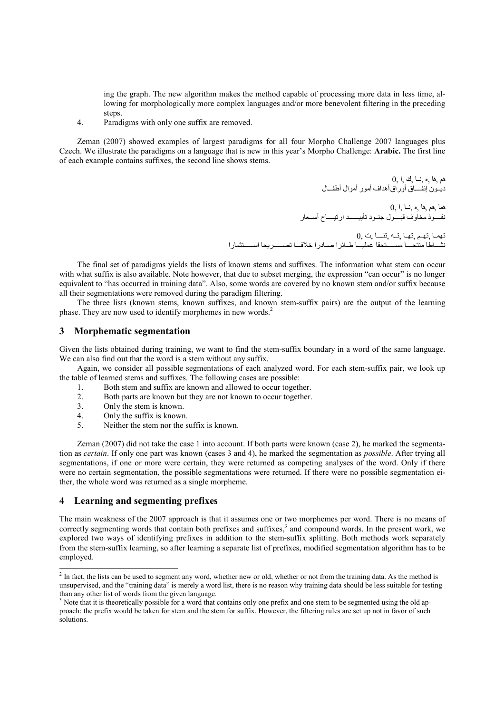ing the graph. The new algorithm makes the method capable of processing more data in less time, allowing for morphologically more complex languages and/or more benevolent filtering in the preceding steps

 $\overline{4}$ . Paradigms with only one suffix are removed.

Zeman (2007) showed examples of largest paradigms for all four Morpho Challenge 2007 languages plus Czech. We illustrate the paradigms on a language that is new in this year's Morpho Challenge: Arabic. The first line of each example contains suffixes, the second line shows stems.

> هم <sub>ب</sub>ها ,ه <sub>ب</sub>نــا ,ك ,ا ,0<br>ديــون إنفــــاق أوراق|هداف أمور أموال أطفـــال هما <sub>ب</sub>هم <sub>ب</sub>ها <sub>ب</sub>ه <sub>ب</sub>نــا ,ا ,0<br>نفــــوذ مخـاوف قبــــول جذـود تـأييــــــــد ارتيــــــاح أســـعار تهمــا ,تهـم ,تهــا ,تــه ,تنــــا ,ت ,0<br>نشـــاطا منتجــــا مســـــنحقا عمليـــا طــائر ا صــادر ا خلافـــا تصـــــــريحا اســــــتثمار ا

The final set of paradigms yields the lists of known stems and suffixes. The information what stem can occur with what suffix is also available. Note however, that due to subset merging, the expression "can occur" is no longer equivalent to "has occurred in training data". Also, some words are covered by no known stem and/or suffix because all their segmentations were removed during the paradigm filtering.

The three lists (known stems, known suffixes, and known stem-suffix pairs) are the output of the learning phase. They are now used to identify morphemes in new words.<sup>2</sup>

#### **Morphematic segmentation**  $3<sup>1</sup>$

Given the lists obtained during training, we want to find the stem-suffix boundary in a word of the same language. We can also find out that the word is a stem without any suffix.

Again, we consider all possible segmentations of each analyzed word. For each stem-suffix pair, we look up the table of learned stems and suffixes. The following cases are possible:

- $\mathbf{1}$ Both stem and suffix are known and allowed to occur together.
- 2. Both parts are known but they are not known to occur together.
- $3.$ Only the stem is known.
- $\overline{4}$ . Only the suffix is known.
- 5. Neither the stem nor the suffix is known.

Zeman (2007) did not take the case 1 into account. If both parts were known (case 2), he marked the segmentation as *certain*. If only one part was known (cases 3 and 4), he marked the segmentation as *possible*. After trying all segmentations, if one or more were certain, they were returned as competing analyses of the word. Only if there were no certain segmentation, the possible segmentations were returned. If there were no possible segmentation either, the whole word was returned as a single morpheme.

#### Learning and segmenting prefixes  $\overline{\mathbf{4}}$

The main weakness of the 2007 approach is that it assumes one or two morphemes per word. There is no means of correctly segmenting words that contain both prefixes and suffixes,<sup>3</sup> and compound words. In the present work, we explored two ways of identifying prefixes in addition to the stem-suffix splitting. Both methods work separately from the stem-suffix learning, so after learning a separate list of prefixes, modified segmentation algorithm has to be employed.

<sup>&</sup>lt;sup>2</sup> In fact, the lists can be used to segment any word, whether new or old, whether or not from the training data. As the method is unsupervised, and the "training data" is merely a word list, there is no reason why training data should be less suitable for testing than any other list of words from the given language.

<sup>&</sup>lt;sup>3</sup> Note that it is theoretically possible for a word that contains only one prefix and one stem to be segmented using the old approach: the prefix would be taken for stem and the stem for suffix. However, the filtering rules are set up not in favor of such solutions.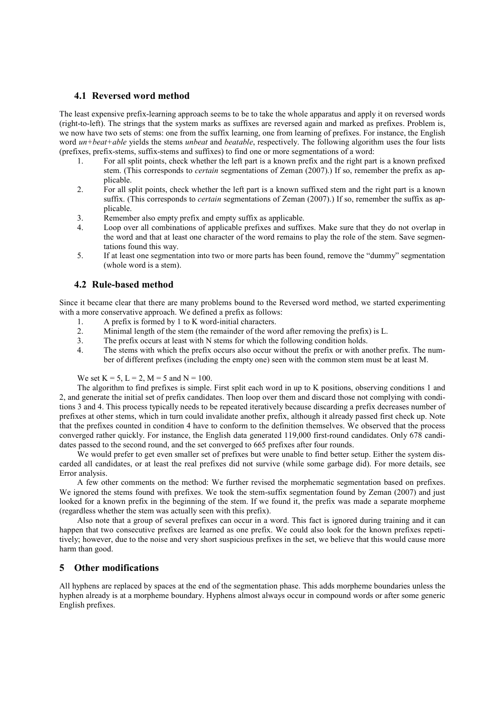### 4.1 Reversed word method

The least expensive prefix-learning approach seems to be to take the whole apparatus and apply it on reversed words (right-to-left). The strings that the system marks as suffixes are reversed again and marked as prefixes. Problem is, we now have two sets of stems: one from the suffix learning, one from learning of prefixes. For instance, the English word un+beat+able yields the stems unbeat and beatable, respectively. The following algorithm uses the four lists (prefixes, prefix-stems, suffix-stems and suffixes) to find one or more segmentations of a word:

- For all split points, check whether the left part is a known prefix and the right part is a known prefixed  $\mathbf{1}$ stem. (This corresponds to *certain* segmentations of Zeman (2007).) If so, remember the prefix as applicable.
- $2.$ For all split points, check whether the left part is a known suffixed stem and the right part is a known suffix. (This corresponds to *certain* segmentations of Zeman (2007).) If so, remember the suffix as applicable.
- Remember also empty prefix and empty suffix as applicable. 3.
- Loop over all combinations of applicable prefixes and suffixes. Make sure that they do not overlap in  $4.$ the word and that at least one character of the word remains to play the role of the stem. Save segmentations found this way.
- 5. If at least one segmentation into two or more parts has been found, remove the "dummy" segmentation (whole word is a stem).

## 4.2 Rule-based method

Since it became clear that there are many problems bound to the Reversed word method, we started experimenting with a more conservative approach. We defined a prefix as follows:

- A prefix is formed by 1 to K word-initial characters.  $\mathbf{1}$
- $\overline{2}$ . Minimal length of the stem (the remainder of the word after removing the prefix) is L.
- $\overline{3}$ . The prefix occurs at least with N stems for which the following condition holds.
- $\overline{4}$ . The stems with which the prefix occurs also occur without the prefix or with another prefix. The number of different prefixes (including the empty one) seen with the common stem must be at least M.

We set  $K = 5$  L = 2 M = 5 and N = 100

The algorithm to find prefixes is simple. First split each word in up to K positions, observing conditions 1 and 2, and generate the initial set of prefix candidates. Then loop over them and discard those not complying with conditions 3 and 4. This process typically needs to be repeated iteratively because discarding a prefix decreases number of prefixes at other stems, which in turn could invalidate another prefix, although it already passed first check up. Note that the prefixes counted in condition 4 have to conform to the definition themselves. We observed that the process converged rather quickly. For instance, the English data generated 119,000 first-round candidates. Only 678 candidates passed to the second round, and the set converged to 665 prefixes after four rounds.

We would prefer to get even smaller set of prefixes but were unable to find better setup. Either the system discarded all candidates, or at least the real prefixes did not survive (while some garbage did). For more details, see Error analysis.

A few other comments on the method: We further revised the morphematic segmentation based on prefixes. We ignored the stems found with prefixes. We took the stem-suffix segmentation found by Zeman (2007) and just looked for a known prefix in the beginning of the stem. If we found it, the prefix was made a separate morpheme (regardless whether the stem was actually seen with this prefix).

Also note that a group of several prefixes can occur in a word. This fact is ignored during training and it can happen that two consecutive prefixes are learned as one prefix. We could also look for the known prefixes repetitively; however, due to the noise and very short suspicious prefixes in the set, we believe that this would cause more harm than good.

#### 5 **Other modifications**

All hyphens are replaced by spaces at the end of the segmentation phase. This adds morpheme boundaries unless the hyphen already is at a morpheme boundary. Hyphens almost always occur in compound words or after some generic English prefixes.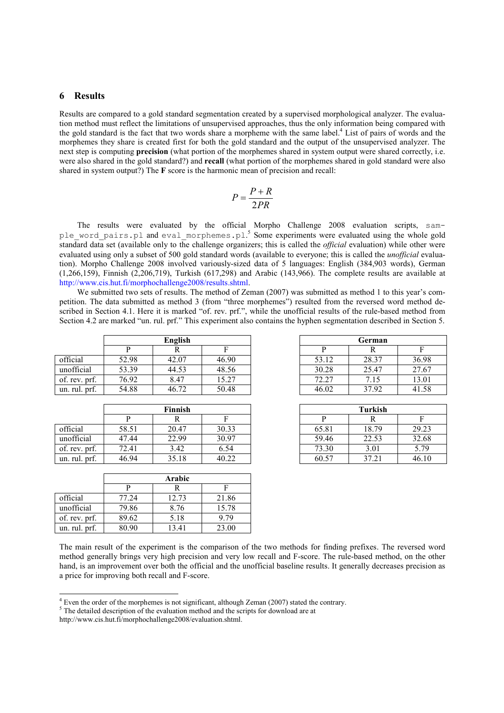#### 6 **Results**

Results are compared to a gold standard segmentation created by a supervised morphological analyzer. The evaluation method must reflect the limitations of unsupervised approaches, thus the only information being compared with the gold standard is the fact that two words share a morpheme with the same label.<sup>4</sup> List of pairs of words and the morphemes they share is created first for both the gold standard and the output of the unsupervised analyzer. The next step is computing **precision** (what portion of the morphemes shared in system output were shared correctly, i.e. were also shared in the gold standard?) and recall (what portion of the morphemes shared in gold standard were also shared in system output?) The F score is the harmonic mean of precision and recall:

$$
P = \frac{P + R}{2PR}
$$

The results were evaluated by the official Morpho Challenge 2008 evaluation scripts, sample word pairs.pl and eval morphemes.pl.<sup>5</sup> Some experiments were evaluated using the whole gold standard data set (available only to the challenge organizers; this is called the *official* evaluation) while other were evaluated using only a subset of 500 gold standard words (available to everyone; this is called the *unofficial* evaluation). Morpho Challenge 2008 involved variously-sized data of 5 languages: English (384,903 words). German  $(1,266,159)$ , Finnish  $(2,206,719)$ , Turkish  $(617,298)$  and Arabic  $(143,966)$ . The complete results are available at http://www.cis.hut.fi/morphochallenge2008/results.shtml.

We submitted two sets of results. The method of Zeman (2007) was submitted as method 1 to this year's competition. The data submitted as method 3 (from "three morphemes") resulted from the reversed word method described in Section 4.1. Here it is marked "of. rev. prf.", while the unofficial results of the rule-based method from Section 4.2 are marked "un. rul. prf." This experiment also contains the hyphen segmentation described in Section 5.

|               | English |       |       |
|---------------|---------|-------|-------|
|               | р       |       |       |
| official      | 52.98   | 42.07 | 46.90 |
| unofficial    | 53.39   | 44.53 | 48.56 |
| of. rev. prf. | 76.92   | 847   | 15.27 |
| un. rul. prf. | 54.88   | 16.72 | 50.48 |

|               | <b>Finnish</b> |       |       |
|---------------|----------------|-------|-------|
|               |                |       |       |
| official      | 58.51          | 20.47 | 30.33 |
| unofficial    | 47.44          | 22.99 | 30.97 |
| of. rev. prf. | 72.41          | 3.42  | 6.54  |
| un. rul. prf. | 46 94          | 35.18 | 40.22 |

|               | Arabic |       |       |
|---------------|--------|-------|-------|
|               |        |       |       |
| official      | 77.24  | 12.73 | 21.86 |
| unofficial    | 79.86  | 8.76  | 15.78 |
| of. rev. prf. | 89.62  | 5.18  | 9.79  |
| un. rul. prf. | 80.90  | 13.41 | 23.00 |

| German |       |       |
|--------|-------|-------|
|        | R     |       |
| 53.12  | 28.37 | 36.98 |
| 30.28  | 25.47 | 27.67 |
| 72.27  | 7.15  | 13.01 |
| 46.02  | 37.92 | 41.58 |

| Turkish |       |       |  |
|---------|-------|-------|--|
| P       | R     | Е     |  |
| 65.81   | 18.79 | 29.23 |  |
| 59.46   | 22.53 | 32.68 |  |
| 73.30   | 3.01  | 5.79  |  |
| 60.57   | 37 21 | 46.10 |  |

The main result of the experiment is the comparison of the two methods for finding prefixes. The reversed word method generally brings very high precision and very low recall and F-score. The rule-based method, on the other hand, is an improvement over both the official and the unofficial baseline results. It generally decreases precision as a price for improving both recall and F-score.

 $5$  The detailed description of the evaluation method and the scripts for download are at

 $4$  Even the order of the morphemes is not significant, although Zeman (2007) stated the contrary.

http://www.cis.hut.fi/morphochallenge2008/evaluation.shtml.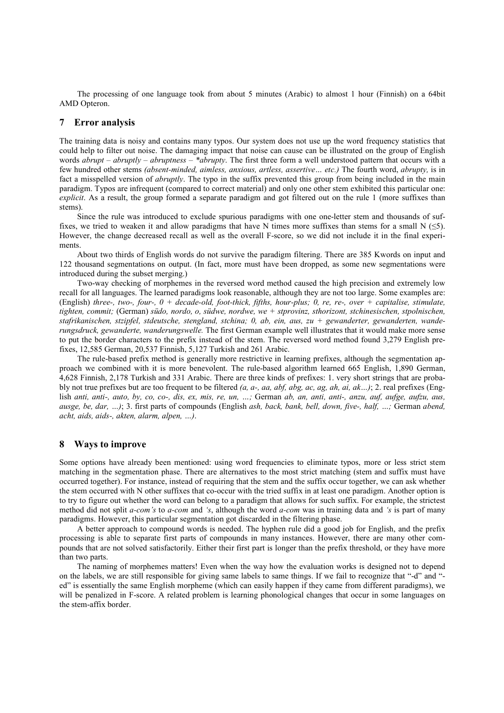The processing of one language took from about 5 minutes (Arabic) to almost 1 hour (Finnish) on a 64bit AMD Opteron.

#### $\overline{7}$ **Error** analysis

The training data is noisy and contains many typos. Our system does not use up the word frequency statistics that could help to filter out noise. The damaging impact that noise can cause can be illustrated on the group of English words  $abrupt -abrupty -abruptness - *abrupty$ . The first three form a well understood pattern that occurs with a few hundred other stems *(absent-minded, aimless, anxious, artless, assertive... etc.)* The fourth word, *abrupty*, is in fact a misspelled version of *abruptly*. The typo in the suffix prevented this group from being included in the main paradigm. Typos are infrequent (compared to correct material) and only one other stem exhibited this particular one: explicit. As a result, the group formed a separate paradigm and got filtered out on the rule 1 (more suffixes than  $s$  tems).

Since the rule was introduced to exclude spurious paradigms with one one-letter stem and thousands of suffixes, we tried to weaken it and allow paradigms that have N times more suffixes than stems for a small N  $(\leq 5)$ . However, the change decreased recall as well as the overall F-score, so we did not include it in the final experiments.

About two thirds of English words do not survive the paradigm filtering. There are 385 Kwords on input and 122 thousand segmentations on output. (In fact, more must have been dropped, as some new segmentations were introduced during the subset merging.)

Two-way checking of morphemes in the reversed word method caused the high precision and extremely low recall for all languages. The learned paradigms look reasonable, although they are not too large. Some examples are: (English) three-, two-, four-,  $0 + decade-old$ , foot-thick, fifths, hour-plus; 0, re, re-, over + capitalise, stimulate, tighten, commit: (German) südo, nordo, o, südwe, nordwe, we + stprovinz, sthorizont, stchinesischen, stpolnischen, stafrikanischen, stzipfel, stdeutsche, stengland, stchina; 0, ab, ein, aus, zu + gewanderter, gewanderten, wanderungsdruck, gewanderte, wanderungswelle. The first German example well illustrates that it would make more sense to put the border characters to the prefix instead of the stem. The reversed word method found 3.279 English prefixes, 12,585 German, 20,537 Finnish, 5,127 Turkish and 261 Arabic.

The rule-based prefix method is generally more restrictive in learning prefixes, although the segmentation approach we combined with it is more benevolent. The rule-based algorithm learned 665 English, 1.890 German. 4.628 Finnish, 2.178 Turkish and 331 Arabic. There are three kinds of prefixes: 1, very short strings that are probably not true prefixes but are too frequent to be filtered (*a. a-, aa, abf. abg. ac. ag. ah. ai, ak...*): 2, real prefixes (English anti, anti-, auto, by, co, co-, dis, ex, mis, re, un, ...; German ab, an, anti, anti-, anzu, auf, aufge, aufzu, aus, ausge, be, dar, ...); 3. first parts of compounds (English ash, back, bank, bell, down, five-, half, ...; German abend, acht, aids, aids-, akten, alarm, alpen, ...).

#### 8 Ways to improve

Some options have already been mentioned: using word frequencies to eliminate typos, more or less strict stem matching in the segmentation phase. There are alternatives to the most strict matching (stem and suffix must have occurred together). For instance, instead of requiring that the stem and the suffix occur together, we can ask whether the stem occurred with N other suffixes that co-occur with the tried suffix in at least one paradigm. Another option is to try to figure out whether the word can belong to a paradigm that allows for such suffix. For example, the strictest method did not split *a-com's* to *a-com* and 's, although the word *a-com* was in training data and 's is part of many paradigms. However, this particular segmentation got discarded in the filtering phase.

A better approach to compound words is needed. The hyphen rule did a good job for English, and the prefix processing is able to separate first parts of compounds in many instances. However, there are many other compounds that are not solved satisfactorily. Either their first part is longer than the prefix threshold, or they have more than two parts.

The naming of morphemes matters! Even when the way how the evaluation works is designed not to depend on the labels, we are still responsible for giving same labels to same things. If we fail to recognize that "-d" and "ed" is essentially the same English morpheme (which can easily happen if they came from different paradigms), we will be penalized in F-score. A related problem is learning phonological changes that occur in some languages on the stem-affix border.